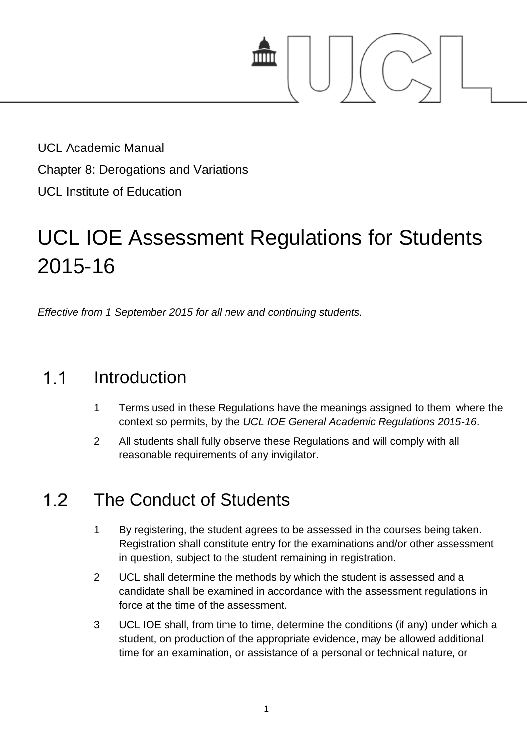

UCL Academic Manual Chapter 8: Derogations and Variations UCL Institute of Education

# UCL IOE Assessment Regulations for Students 2015-16

*Effective from 1 September 2015 for all new and continuing students.*

#### $1.1$ Introduction

- 1 Terms used in these Regulations have the meanings assigned to them, where the context so permits, by the *UCL IOE General Academic Regulations 2015-16*.
- 2 All students shall fully observe these Regulations and will comply with all reasonable requirements of any invigilator.

# $12$ The Conduct of Students

- 1 By registering, the student agrees to be assessed in the courses being taken. Registration shall constitute entry for the examinations and/or other assessment in question, subject to the student remaining in registration.
- 2 UCL shall determine the methods by which the student is assessed and a candidate shall be examined in accordance with the assessment regulations in force at the time of the assessment.
- 3 UCL IOE shall, from time to time, determine the conditions (if any) under which a student, on production of the appropriate evidence, may be allowed additional time for an examination, or assistance of a personal or technical nature, or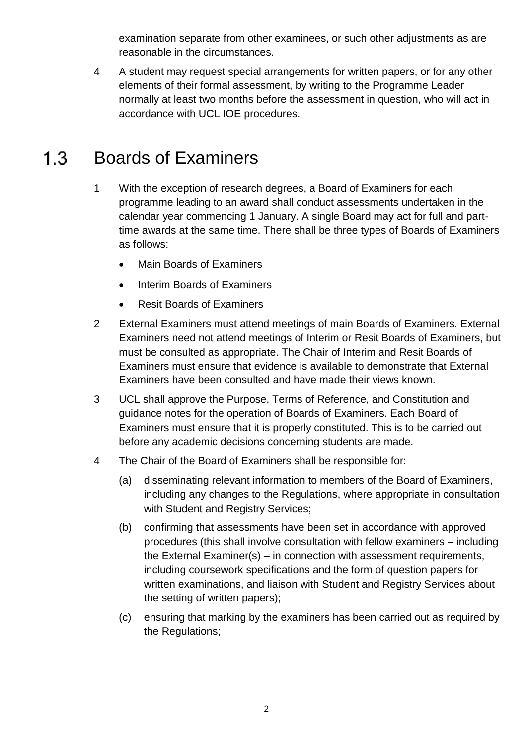examination separate from other examinees, or such other adjustments as are reasonable in the circumstances.

4 A student may request special arrangements for written papers, or for any other elements of their formal assessment, by writing to the Programme Leader normally at least two months before the assessment in question, who will act in accordance with UCL IOE procedures.

#### $1.3$ Boards of Examiners

- 1 With the exception of research degrees, a Board of Examiners for each programme leading to an award shall conduct assessments undertaken in the calendar year commencing 1 January. A single Board may act for full and parttime awards at the same time. There shall be three types of Boards of Examiners as follows:
	- Main Boards of Examiners
	- Interim Boards of Examiners
	- Resit Boards of Examiners
- 2 External Examiners must attend meetings of main Boards of Examiners. External Examiners need not attend meetings of Interim or Resit Boards of Examiners, but must be consulted as appropriate. The Chair of Interim and Resit Boards of Examiners must ensure that evidence is available to demonstrate that External Examiners have been consulted and have made their views known.
- 3 UCL shall approve the Purpose, Terms of Reference, and Constitution and guidance notes for the operation of Boards of Examiners. Each Board of Examiners must ensure that it is properly constituted. This is to be carried out before any academic decisions concerning students are made.
- 4 The Chair of the Board of Examiners shall be responsible for:
	- (a) disseminating relevant information to members of the Board of Examiners, including any changes to the Regulations, where appropriate in consultation with Student and Registry Services;
	- (b) confirming that assessments have been set in accordance with approved procedures (this shall involve consultation with fellow examiners – including the External Examiner(s) – in connection with assessment requirements, including coursework specifications and the form of question papers for written examinations, and liaison with Student and Registry Services about the setting of written papers);
	- (c) ensuring that marking by the examiners has been carried out as required by the Regulations;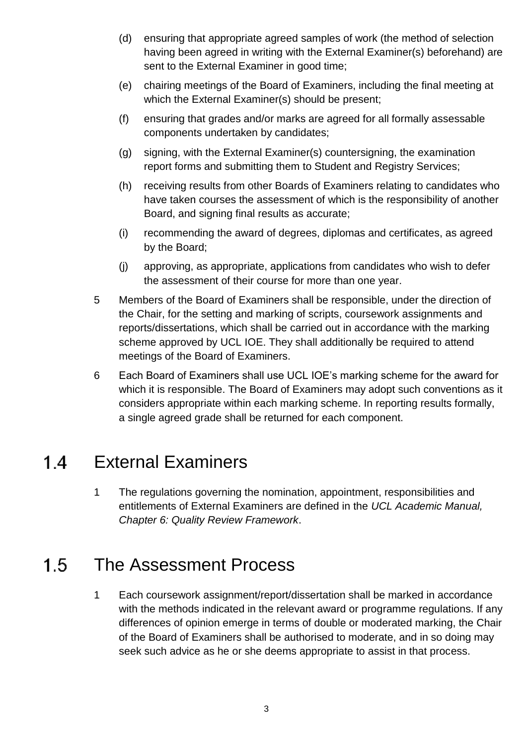- (d) ensuring that appropriate agreed samples of work (the method of selection having been agreed in writing with the External Examiner(s) beforehand) are sent to the External Examiner in good time;
- (e) chairing meetings of the Board of Examiners, including the final meeting at which the External Examiner(s) should be present;
- (f) ensuring that grades and/or marks are agreed for all formally assessable components undertaken by candidates;
- (g) signing, with the External Examiner(s) countersigning, the examination report forms and submitting them to Student and Registry Services;
- (h) receiving results from other Boards of Examiners relating to candidates who have taken courses the assessment of which is the responsibility of another Board, and signing final results as accurate;
- (i) recommending the award of degrees, diplomas and certificates, as agreed by the Board;
- (j) approving, as appropriate, applications from candidates who wish to defer the assessment of their course for more than one year.
- 5 Members of the Board of Examiners shall be responsible, under the direction of the Chair, for the setting and marking of scripts, coursework assignments and reports/dissertations, which shall be carried out in accordance with the marking scheme approved by UCL IOE. They shall additionally be required to attend meetings of the Board of Examiners.
- 6 Each Board of Examiners shall use UCL IOE's marking scheme for the award for which it is responsible. The Board of Examiners may adopt such conventions as it considers appropriate within each marking scheme. In reporting results formally, a single agreed grade shall be returned for each component.

#### External Examiners  $1.4$

1 The regulations governing the nomination, appointment, responsibilities and entitlements of External Examiners are defined in the *UCL Academic Manual, Chapter 6: Quality Review Framework*.

# $1.5$ The Assessment Process

1 Each coursework assignment/report/dissertation shall be marked in accordance with the methods indicated in the relevant award or programme regulations. If any differences of opinion emerge in terms of double or moderated marking, the Chair of the Board of Examiners shall be authorised to moderate, and in so doing may seek such advice as he or she deems appropriate to assist in that process.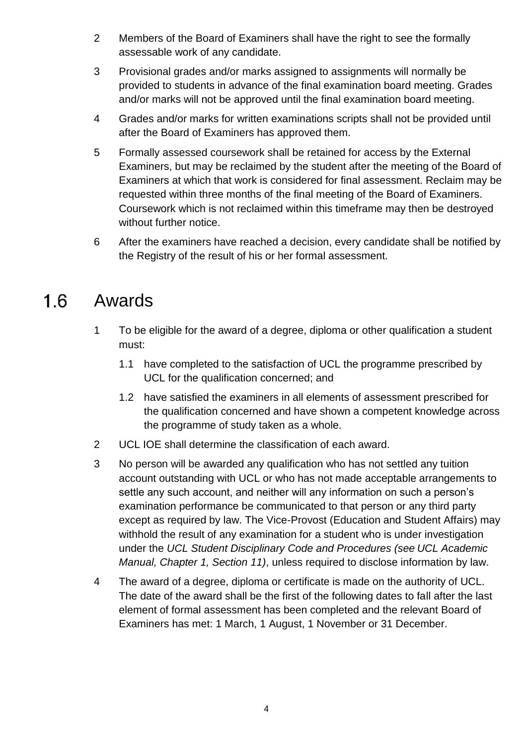- 2 Members of the Board of Examiners shall have the right to see the formally assessable work of any candidate.
- 3 Provisional grades and/or marks assigned to assignments will normally be provided to students in advance of the final examination board meeting. Grades and/or marks will not be approved until the final examination board meeting.
- 4 Grades and/or marks for written examinations scripts shall not be provided until after the Board of Examiners has approved them.
- 5 Formally assessed coursework shall be retained for access by the External Examiners, but may be reclaimed by the student after the meeting of the Board of Examiners at which that work is considered for final assessment. Reclaim may be requested within three months of the final meeting of the Board of Examiners. Coursework which is not reclaimed within this timeframe may then be destroyed without further notice.
- 6 After the examiners have reached a decision, every candidate shall be notified by the Registry of the result of his or her formal assessment.

#### $1.6$ Awards

- 1 To be eligible for the award of a degree, diploma or other qualification a student must:
	- 1.1 have completed to the satisfaction of UCL the programme prescribed by UCL for the qualification concerned; and
	- 1.2 have satisfied the examiners in all elements of assessment prescribed for the qualification concerned and have shown a competent knowledge across the programme of study taken as a whole.
- 2 UCL IOE shall determine the classification of each award.
- 3 No person will be awarded any qualification who has not settled any tuition account outstanding with UCL or who has not made acceptable arrangements to settle any such account, and neither will any information on such a person's examination performance be communicated to that person or any third party except as required by law. The Vice-Provost (Education and Student Affairs) may withhold the result of any examination for a student who is under investigation under the *UCL Student Disciplinary Code and Procedures (see UCL Academic Manual, Chapter 1, Section 11)*, unless required to disclose information by law.
- 4 The award of a degree, diploma or certificate is made on the authority of UCL. The date of the award shall be the first of the following dates to fall after the last element of formal assessment has been completed and the relevant Board of Examiners has met: 1 March, 1 August, 1 November or 31 December.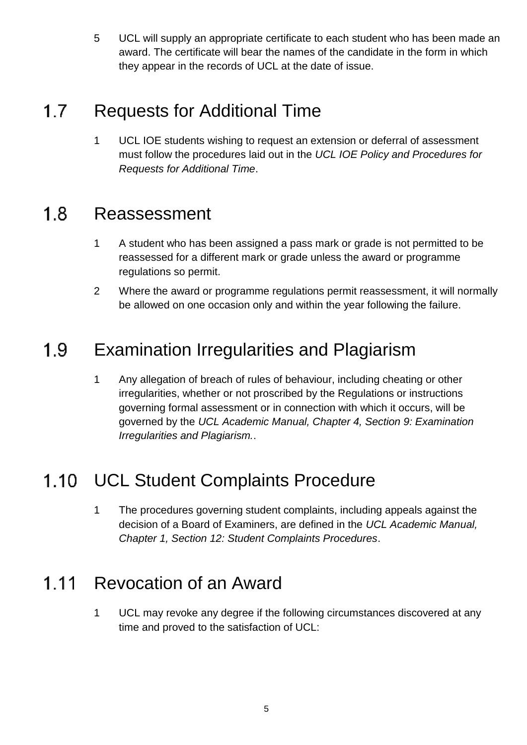5 UCL will supply an appropriate certificate to each student who has been made an award. The certificate will bear the names of the candidate in the form in which they appear in the records of UCL at the date of issue.

# $1.7<sub>2</sub>$ Requests for Additional Time

1 UCL IOE students wishing to request an extension or deferral of assessment must follow the procedures laid out in the *UCL IOE Policy and Procedures for Requests for Additional Time*.

#### $1.8$ Reassessment

- 1 A student who has been assigned a pass mark or grade is not permitted to be reassessed for a different mark or grade unless the award or programme regulations so permit.
- 2 Where the award or programme regulations permit reassessment, it will normally be allowed on one occasion only and within the year following the failure.

# Examination Irregularities and Plagiarism  $1.9$

1 Any allegation of breach of rules of behaviour, including cheating or other irregularities, whether or not proscribed by the Regulations or instructions governing formal assessment or in connection with which it occurs, will be governed by the *UCL Academic Manual, Chapter 4, Section 9: Examination Irregularities and Plagiarism.*.

# UCL Student Complaints Procedure  $1.10$

1 The procedures governing student complaints, including appeals against the decision of a Board of Examiners, are defined in the *UCL Academic Manual, Chapter 1, Section 12: Student Complaints Procedures*.

#### $1.11$ Revocation of an Award

1 UCL may revoke any degree if the following circumstances discovered at any time and proved to the satisfaction of UCL: